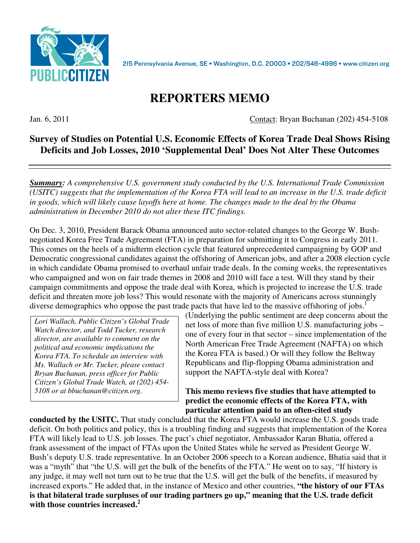

215 Pennsylvania Avenue, SE · Washington, D.C. 20003 · 202/546-4996 · www.citizen.org

# **REPORTERS MEMO**

Jan. 6, 2011 Contact: Bryan Buchanan (202) 454-5108

# **Survey of Studies on Potential U.S. Economic Effects of Korea Trade Deal Shows Rising Deficits and Job Losses, 2010 'Supplemental Deal' Does Not Alter These Outcomes**

*Summary: A comprehensive U.S. government study conducted by the U.S. International Trade Commission (USITC) suggests that the implementation of the Korea FTA will lead to an increase in the U.S. trade deficit in goods, which will likely cause layoffs here at home. The changes made to the deal by the Obama administration in December 2010 do not alter these ITC findings.* 

On Dec. 3, 2010, President Barack Obama announced auto sector-related changes to the George W. Bushnegotiated Korea Free Trade Agreement (FTA) in preparation for submitting it to Congress in early 2011. This comes on the heels of a midterm election cycle that featured unprecedented campaigning by GOP and Democratic congressional candidates against the offshoring of American jobs, and after a 2008 election cycle in which candidate Obama promised to overhaul unfair trade deals. In the coming weeks, the representatives who campaigned and won on fair trade themes in 2008 and 2010 will face a test. Will they stand by their campaign commitments and oppose the trade deal with Korea, which is projected to increase the U.S. trade deficit and threaten more job loss? This would resonate with the majority of Americans across stunningly diverse demographics who oppose the past trade pacts that have led to the massive offshoring of jobs.<sup>1</sup>

*Lori Wallach, Public Citizen's Global Trade Watch director, and Todd Tucker, research director, are available to comment on the political and economic implications the Korea FTA. To schedule an interview with Ms. Wallach or Mr. Tucker, please contact Bryan Buchanan, press officer for Public Citizen's Global Trade Watch, at (202) 454- 5108 or at bbuchanan@citizen.org.* 

(Underlying the public sentiment are deep concerns about the net loss of more than five million U.S. manufacturing jobs – one of every four in that sector – since implementation of the North American Free Trade Agreement (NAFTA) on which the Korea FTA is based.) Or will they follow the Beltway Republicans and flip-flopping Obama administration and support the NAFTA-style deal with Korea?

#### **This memo reviews five studies that have attempted to predict the economic effects of the Korea FTA, with particular attention paid to an often-cited study**

**conducted by the USITC.** That study concluded that the Korea FTA would increase the U.S. goods trade deficit. On both politics and policy, this is a troubling finding and suggests that implementation of the Korea FTA will likely lead to U.S. job losses. The pact's chief negotiator, Ambassador Karan Bhatia, offered a frank assessment of the impact of FTAs upon the United States while he served as President George W. Bush's deputy U.S. trade representative. In an October 2006 speech to a Korean audience, Bhatia said that it was a "myth" that "the U.S. will get the bulk of the benefits of the FTA." He went on to say, "If history is any judge, it may well not turn out to be true that the U.S. will get the bulk of the benefits, if measured by increased exports." He added that, in the instance of Mexico and other countries, **"the history of our FTAs is that bilateral trade surpluses of our trading partners go up," meaning that the U.S. trade deficit with those countries increased.<sup>2</sup>**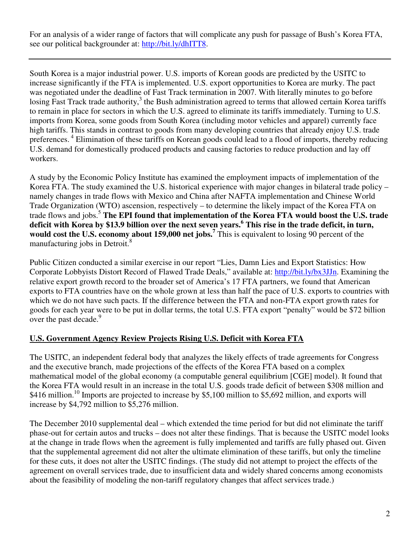For an analysis of a wider range of factors that will complicate any push for passage of Bush's Korea FTA, see our political backgrounder at: http://bit.ly/dhITT8.

South Korea is a major industrial power. U.S. imports of Korean goods are predicted by the USITC to increase significantly if the FTA is implemented. U.S. export opportunities to Korea are murky. The pact was negotiated under the deadline of Fast Track termination in 2007. With literally minutes to go before losing Fast Track trade authority,<sup>3</sup> the Bush administration agreed to terms that allowed certain Korea tariffs to remain in place for sectors in which the U.S. agreed to eliminate its tariffs immediately. Turning to U.S. imports from Korea, some goods from South Korea (including motor vehicles and apparel) currently face high tariffs. This stands in contrast to goods from many developing countries that already enjoy U.S. trade preferences.<sup>4</sup> Elimination of these tariffs on Korean goods could lead to a flood of imports, thereby reducing U.S. demand for domestically produced products and causing factories to reduce production and lay off workers.

A study by the Economic Policy Institute has examined the employment impacts of implementation of the Korea FTA. The study examined the U.S. historical experience with major changes in bilateral trade policy – namely changes in trade flows with Mexico and China after NAFTA implementation and Chinese World Trade Organization (WTO) ascension, respectively – to determine the likely impact of the Korea FTA on trade flows and jobs.<sup>5</sup> The EPI found that implementation of the Korea FTA would boost the U.S. trade **deficit with Korea by \$13.9 billion over the next seven years.<sup>6</sup> This rise in the trade deficit, in turn, would cost the U.S. economy about 159,000 net jobs.<sup>7</sup>** This is equivalent to losing 90 percent of the manufacturing jobs in Detroit.<sup>8</sup>

Public Citizen conducted a similar exercise in our report "Lies, Damn Lies and Export Statistics: How Corporate Lobbyists Distort Record of Flawed Trade Deals," available at: http://bit.ly/bx3JJn. Examining the relative export growth record to the broader set of America's 17 FTA partners, we found that American exports to FTA countries have on the whole grown at less than half the pace of U.S. exports to countries with which we do not have such pacts. If the difference between the FTA and non-FTA export growth rates for goods for each year were to be put in dollar terms, the total U.S. FTA export "penalty" would be \$72 billion over the past decade.<sup>9</sup>

## **U.S. Government Agency Review Projects Rising U.S. Deficit with Korea FTA**

The USITC, an independent federal body that analyzes the likely effects of trade agreements for Congress and the executive branch, made projections of the effects of the Korea FTA based on a complex mathematical model of the global economy (a computable general equilibrium [CGE] model). It found that the Korea FTA would result in an increase in the total U.S. goods trade deficit of between \$308 million and \$416 million.<sup>10</sup> Imports are projected to increase by \$5,100 million to \$5,692 million, and exports will increase by \$4,792 million to \$5,276 million.

The December 2010 supplemental deal – which extended the time period for but did not eliminate the tariff phase-out for certain autos and trucks – does not alter these findings. That is because the USITC model looks at the change in trade flows when the agreement is fully implemented and tariffs are fully phased out. Given that the supplemental agreement did not alter the ultimate elimination of these tariffs, but only the timeline for these cuts, it does not alter the USITC findings. (The study did not attempt to project the effects of the agreement on overall services trade, due to insufficient data and widely shared concerns among economists about the feasibility of modeling the non-tariff regulatory changes that affect services trade.)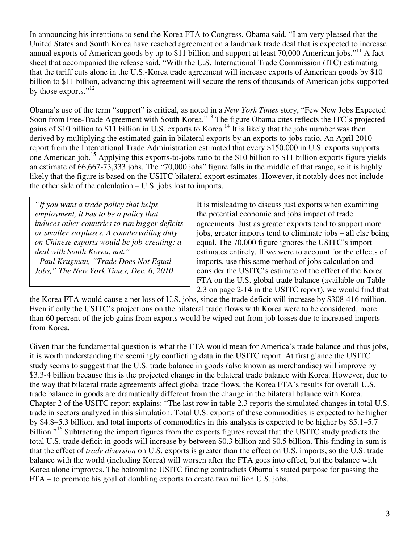In announcing his intentions to send the Korea FTA to Congress, Obama said, "I am very pleased that the United States and South Korea have reached agreement on a landmark trade deal that is expected to increase annual exports of American goods by up to \$11 billion and support at least 70,000 American jobs."<sup>11</sup> A fact sheet that accompanied the release said, "With the U.S. International Trade Commission (ITC) estimating that the tariff cuts alone in the U.S.-Korea trade agreement will increase exports of American goods by \$10 billion to \$11 billion, advancing this agreement will secure the tens of thousands of American jobs supported by those exports."<sup>12</sup>

Obama's use of the term "support" is critical, as noted in a *New York Times* story, "Few New Jobs Expected Soon from Free-Trade Agreement with South Korea."<sup>13</sup> The figure Obama cites reflects the ITC's projected gains of \$10 billion to \$11 billion in U.S. exports to Korea.<sup>14</sup> It is likely that the jobs number was then derived by multiplying the estimated gain in bilateral exports by an exports-to-jobs ratio. An April 2010 report from the International Trade Administration estimated that every \$150,000 in U.S. exports supports one American job.<sup>15</sup> Applying this exports-to-jobs ratio to the \$10 billion to \$11 billion exports figure yields an estimate of 66,667-73,333 jobs. The "70,000 jobs" figure falls in the middle of that range, so it is highly likely that the figure is based on the USITC bilateral export estimates. However, it notably does not include the other side of the calculation – U.S. jobs lost to imports.

*"If you want a trade policy that helps employment, it has to be a policy that induces other countries to run bigger deficits or smaller surpluses. A countervailing duty on Chinese exports would be job-creating; a deal with South Korea, not." - Paul Krugman, "Trade Does Not Equal Jobs," The New York Times, Dec. 6, 2010* 

It is misleading to discuss just exports when examining the potential economic and jobs impact of trade agreements. Just as greater exports tend to support more jobs, greater imports tend to eliminate jobs – all else being equal. The 70,000 figure ignores the USITC's import estimates entirely. If we were to account for the effects of imports, use this same method of jobs calculation and consider the USITC's estimate of the effect of the Korea FTA on the U.S. global trade balance (available on Table 2.3 on page 2-14 in the USITC report), we would find that

the Korea FTA would cause a net loss of U.S. jobs, since the trade deficit will increase by \$308-416 million. Even if only the USITC's projections on the bilateral trade flows with Korea were to be considered, more than 60 percent of the job gains from exports would be wiped out from job losses due to increased imports from Korea.

Given that the fundamental question is what the FTA would mean for America's trade balance and thus jobs, it is worth understanding the seemingly conflicting data in the USITC report. At first glance the USITC study seems to suggest that the U.S. trade balance in goods (also known as merchandise) will improve by \$3.3-4 billion because this is the projected change in the bilateral trade balance with Korea. However, due to the way that bilateral trade agreements affect global trade flows, the Korea FTA's results for overall U.S. trade balance in goods are dramatically different from the change in the bilateral balance with Korea. Chapter 2 of the USITC report explains: "The last row in table 2.3 reports the simulated changes in total U.S. trade in sectors analyzed in this simulation. Total U.S. exports of these commodities is expected to be higher by \$4.8–5.3 billion, and total imports of commodities in this analysis is expected to be higher by \$5.1–5.7 billion."<sup>16</sup> Subtracting the import figures from the exports figures reveal that the USITC study predicts the total U.S. trade deficit in goods will increase by between \$0.3 billion and \$0.5 billion. This finding in sum is that the effect of *trade diversion* on U.S. exports is greater than the effect on U.S. imports, so the U.S. trade balance with the world (including Korea) will worsen after the FTA goes into effect, but the balance with Korea alone improves. The bottomline USITC finding contradicts Obama's stated purpose for passing the FTA – to promote his goal of doubling exports to create two million U.S. jobs.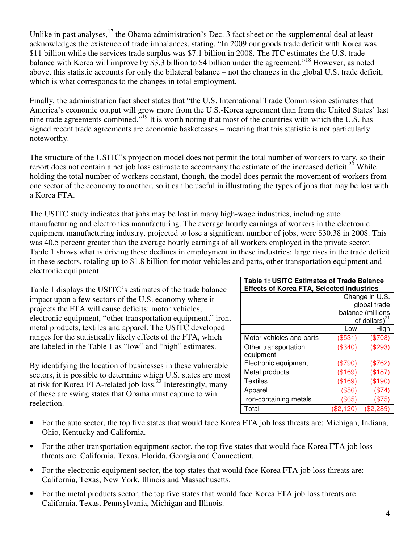Unlike in past analyses, $17$  the Obama administration's Dec. 3 fact sheet on the supplemental deal at least acknowledges the existence of trade imbalances, stating, "In 2009 our goods trade deficit with Korea was \$11 billion while the services trade surplus was \$7.1 billion in 2008. The ITC estimates the U.S. trade balance with Korea will improve by \$3.3 billion to \$4 billion under the agreement."<sup>18</sup> However, as noted above, this statistic accounts for only the bilateral balance – not the changes in the global U.S. trade deficit, which is what corresponds to the changes in total employment.

Finally, the administration fact sheet states that "the U.S. International Trade Commission estimates that America's economic output will grow more from the U.S.-Korea agreement than from the United States' last nine trade agreements combined."<sup>19</sup> It is worth noting that most of the countries with which the U.S. has signed recent trade agreements are economic basketcases – meaning that this statistic is not particularly noteworthy.

The structure of the USITC's projection model does not permit the total number of workers to vary, so their report does not contain a net job loss estimate to accompany the estimate of the increased deficit.<sup>20</sup> While holding the total number of workers constant, though, the model does permit the movement of workers from one sector of the economy to another, so it can be useful in illustrating the types of jobs that may be lost with a Korea FTA.

The USITC study indicates that jobs may be lost in many high-wage industries, including auto manufacturing and electronics manufacturing. The average hourly earnings of workers in the electronic equipment manufacturing industry, projected to lose a significant number of jobs, were \$30.38 in 2008. This was 40.5 percent greater than the average hourly earnings of all workers employed in the private sector. Table 1 shows what is driving these declines in employment in these industries: large rises in the trade deficit in these sectors, totaling up to \$1.8 billion for motor vehicles and parts, other transportation equipment and electronic equipment.

Table 1 displays the USITC's estimates of the trade balance impact upon a few sectors of the U.S. economy where it projects the FTA will cause deficits: motor vehicles, electronic equipment, "other transportation equipment," iron, metal products, textiles and apparel. The USITC developed ranges for the statistically likely effects of the FTA, which are labeled in the Table 1 as "low" and "high" estimates.

By identifying the location of businesses in these vulnerable sectors, it is possible to determine which U.S. states are most at risk for Korea FTA-related job loss.<sup>22</sup> Interestingly, many of these are swing states that Obama must capture to win reelection.

| <b>Table 1: USITC Estimates of Trade Balance</b> |                     |             |
|--------------------------------------------------|---------------------|-------------|
| <b>Effects of Korea FTA, Selected Industries</b> |                     |             |
|                                                  | Change in U.S.      |             |
|                                                  | global trade        |             |
|                                                  | balance (millions   |             |
|                                                  | of dollars) $^{21}$ |             |
|                                                  | Low                 | High        |
| Motor vehicles and parts                         | $(\$531)$           | $(\$708)$   |
| Other transportation                             | (\$340)             | (\$293)     |
| equipment                                        |                     |             |
| Electronic equipment                             | $(\$790)$           | (\$762)     |
| Metal products                                   | (\$169)             | (\$187)     |
| Textiles                                         | (\$169)             | (\$190)     |
| Apparel                                          | $($ \$56)           | (\$74)      |
| Iron-containing metals                           | (\$65)              | (\$75)      |
| Total                                            | $(\$2,120)$         | $(\$2,289)$ |

- For the auto sector, the top five states that would face Korea FTA job loss threats are: Michigan, Indiana, Ohio, Kentucky and California.
- For the other transportation equipment sector, the top five states that would face Korea FTA job loss threats are: California, Texas, Florida, Georgia and Connecticut.
- For the electronic equipment sector, the top states that would face Korea FTA job loss threats are: California, Texas, New York, Illinois and Massachusetts.
- For the metal products sector, the top five states that would face Korea FTA job loss threats are: California, Texas, Pennsylvania, Michigan and Illinois.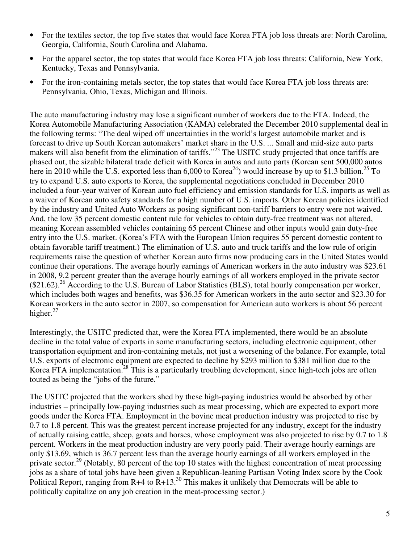- For the textiles sector, the top five states that would face Korea FTA job loss threats are: North Carolina, Georgia, California, South Carolina and Alabama.
- For the apparel sector, the top states that would face Korea FTA job loss threats: California, New York, Kentucky, Texas and Pennsylvania.
- For the iron-containing metals sector, the top states that would face Korea FTA job loss threats are: Pennsylvania, Ohio, Texas, Michigan and Illinois.

The auto manufacturing industry may lose a significant number of workers due to the FTA. Indeed, the Korea Automobile Manufacturing Association (KAMA) celebrated the December 2010 supplemental deal in the following terms: "The deal wiped off uncertainties in the world's largest automobile market and is forecast to drive up South Korean automakers' market share in the U.S. ... Small and mid-size auto parts makers will also benefit from the elimination of tariffs."<sup>23</sup> The USITC study projected that once tariffs are phased out, the sizable bilateral trade deficit with Korea in autos and auto parts (Korean sent 500,000 autos here in 2010 while the U.S. exported less than 6,000 to Korea<sup>24</sup>) would increase by up to \$1.3 billion.<sup>25</sup> To try to expand U.S. auto exports to Korea, the supplemental negotiations concluded in December 2010 included a four-year waiver of Korean auto fuel efficiency and emission standards for U.S. imports as well as a waiver of Korean auto safety standards for a high number of U.S. imports. Other Korean policies identified by the industry and United Auto Workers as posing significant non-tariff barriers to entry were not waived. And, the low 35 percent domestic content rule for vehicles to obtain duty-free treatment was not altered, meaning Korean assembled vehicles containing 65 percent Chinese and other inputs would gain duty-free entry into the U.S. market. (Korea's FTA with the European Union requires 55 percent domestic content to obtain favorable tariff treatment.) The elimination of U.S. auto and truck tariffs and the low rule of origin requirements raise the question of whether Korean auto firms now producing cars in the United States would continue their operations. The average hourly earnings of American workers in the auto industry was \$23.61 in 2008, 9.2 percent greater than the average hourly earnings of all workers employed in the private sector  $(21.62).^{26}$  According to the U.S. Bureau of Labor Statistics (BLS), total hourly compensation per worker, which includes both wages and benefits, was \$36.35 for American workers in the auto sector and \$23.30 for Korean workers in the auto sector in 2007, so compensation for American auto workers is about 56 percent higher. $27$ 

Interestingly, the USITC predicted that, were the Korea FTA implemented, there would be an absolute decline in the total value of exports in some manufacturing sectors, including electronic equipment, other transportation equipment and iron-containing metals, not just a worsening of the balance. For example, total U.S. exports of electronic equipment are expected to decline by \$293 million to \$381 million due to the Korea FTA implementation.<sup>28</sup> This is a particularly troubling development, since high-tech jobs are often touted as being the "jobs of the future."

The USITC projected that the workers shed by these high-paying industries would be absorbed by other industries – principally low-paying industries such as meat processing, which are expected to export more goods under the Korea FTA. Employment in the bovine meat production industry was projected to rise by 0.7 to 1.8 percent. This was the greatest percent increase projected for any industry, except for the industry of actually raising cattle, sheep, goats and horses, whose employment was also projected to rise by 0.7 to 1.8 percent. Workers in the meat production industry are very poorly paid. Their average hourly earnings are only \$13.69, which is 36.7 percent less than the average hourly earnings of all workers employed in the private sector.<sup>29</sup> (Notably, 80 percent of the top 10 states with the highest concentration of meat processing jobs as a share of total jobs have been given a Republican-leaning Partisan Voting Index score by the Cook Political Report, ranging from R+4 to  $\overline{R}$ +13.<sup>30</sup> This makes it unlikely that Democrats will be able to politically capitalize on any job creation in the meat-processing sector.)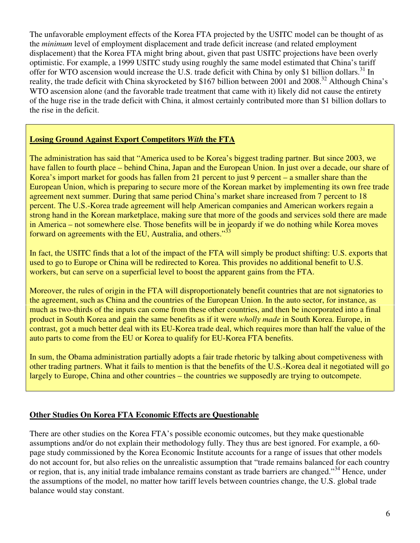The unfavorable employment effects of the Korea FTA projected by the USITC model can be thought of as the *minimum* level of employment displacement and trade deficit increase (and related employment displacement) that the Korea FTA might bring about, given that past USITC projections have been overly optimistic. For example, a 1999 USITC study using roughly the same model estimated that China's tariff offer for WTO ascension would increase the U.S. trade deficit with China by only \$1 billion dollars.<sup>31</sup> In reality, the trade deficit with China skyrocketed by \$167 billion between 2001 and 2008.<sup>32</sup> Although China's WTO ascension alone (and the favorable trade treatment that came with it) likely did not cause the entirety of the huge rise in the trade deficit with China, it almost certainly contributed more than \$1 billion dollars to the rise in the deficit.

### **Losing Ground Against Export Competitors** *With* **the FTA**

The administration has said that "America used to be Korea's biggest trading partner. But since 2003, we have fallen to fourth place – behind China, Japan and the European Union. In just over a decade, our share of Korea's import market for goods has fallen from 21 percent to just 9 percent – a smaller share than the European Union, which is preparing to secure more of the Korean market by implementing its own free trade agreement next summer. During that same period China's market share increased from 7 percent to 18 percent. The U.S.-Korea trade agreement will help American companies and American workers regain a strong hand in the Korean marketplace, making sure that more of the goods and services sold there are made in America – not somewhere else. Those benefits will be in jeopardy if we do nothing while Korea moves forward on agreements with the EU, Australia, and others."<sup>33</sup>

In fact, the USITC finds that a lot of the impact of the FTA will simply be product shifting: U.S. exports that used to go to Europe or China will be redirected to Korea. This provides no additional benefit to U.S. workers, but can serve on a superficial level to boost the apparent gains from the FTA.

Moreover, the rules of origin in the FTA will disproportionately benefit countries that are not signatories to the agreement, such as China and the countries of the European Union. In the auto sector, for instance, as much as two-thirds of the inputs can come from these other countries, and then be incorporated into a final product in South Korea and gain the same benefits as if it were *wholly made* in South Korea. Europe, in contrast, got a much better deal with its EU-Korea trade deal, which requires more than half the value of the auto parts to come from the EU or Korea to qualify for EU-Korea FTA benefits.

In sum, the Obama administration partially adopts a fair trade rhetoric by talking about competiveness with other trading partners. What it fails to mention is that the benefits of the U.S.-Korea deal it negotiated will go largely to Europe, China and other countries – the countries we supposedly are trying to outcompete.

#### **Other Studies On Korea FTA Economic Effects are Questionable**

There are other studies on the Korea FTA's possible economic outcomes, but they make questionable assumptions and/or do not explain their methodology fully. They thus are best ignored. For example, a 60 page study commissioned by the Korea Economic Institute accounts for a range of issues that other models do not account for, but also relies on the unrealistic assumption that "trade remains balanced for each country or region, that is, any initial trade imbalance remains constant as trade barriers are changed."<sup>34</sup> Hence, under the assumptions of the model, no matter how tariff levels between countries change, the U.S. global trade balance would stay constant.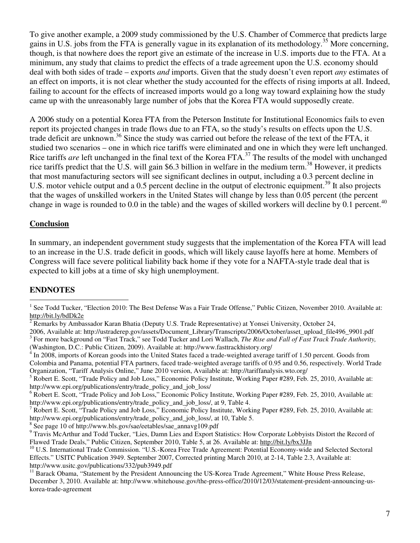To give another example, a 2009 study commissioned by the U.S. Chamber of Commerce that predicts large gains in U.S. jobs from the FTA is generally vague in its explanation of its methodology.<sup>35</sup> More concerning, though, is that nowhere does the report give an estimate of the increase in U.S. imports due to the FTA. At a minimum, any study that claims to predict the effects of a trade agreement upon the U.S. economy should deal with both sides of trade – exports *and* imports. Given that the study doesn't even report *any* estimates of an effect on imports, it is not clear whether the study accounted for the effects of rising imports at all. Indeed, failing to account for the effects of increased imports would go a long way toward explaining how the study came up with the unreasonably large number of jobs that the Korea FTA would supposedly create.

A 2006 study on a potential Korea FTA from the Peterson Institute for Institutional Economics fails to even report its projected changes in trade flows due to an FTA, so the study's results on effects upon the U.S. trade deficit are unknown.<sup>36</sup> Since the study was carried out before the release of the text of the FTA, it studied two scenarios – one in which rice tariffs were eliminated and one in which they were left unchanged. Rice tariffs *are* left unchanged in the final text of the Korea FTA.<sup>37</sup> The results of the model with unchanged rice tariffs predict that the U.S. will gain \$6.3 billion in welfare in the medium term.<sup>38</sup> However, it predicts that most manufacturing sectors will see significant declines in output, including a 0.3 percent decline in U.S. motor vehicle output and a 0.5 percent decline in the output of electronic equipment.<sup>39</sup> It also projects that the wages of unskilled workers in the United States will change by less than 0.05 percent (the percent change in wage is rounded to 0.0 in the table) and the wages of skilled workers will decline by 0.1 percent.<sup>40</sup>

#### **Conclusion**

In summary, an independent government study suggests that the implementation of the Korea FTA will lead to an increase in the U.S. trade deficit in goods, which will likely cause layoffs here at home. Members of Congress will face severe political liability back home if they vote for a NAFTA-style trade deal that is expected to kill jobs at a time of sky high unemployment.

#### **ENDNOTES**

<sup>1&</sup>lt;br><sup>1</sup> See Todd Tucker, "Election 2010: The Best Defense Was a Fair Trade Offense," Public Citizen, November 2010. Available at: http://bit.ly/bdDk2e

<sup>2</sup> Remarks by Ambassador Karan Bhatia (Deputy U.S. Trade Representative) at Yonsei University, October 24,

<sup>2006,</sup> Available at: http://ustraderep.gov/assets/Document\_Library/Transcripts/2006/October/asset\_upload\_file496\_9901.pdf <sup>3</sup> For more background on "Fast Track," see Todd Tucker and Lori Wallach, *The Rise and Fall of Fast Track Trade Authority*, (Washington, D.C.: Public Citizen, 2009). Available at: http://www.fasttrackhistory.org/

 $4 \text{ In } 2008$ , imports of Korean goods into the United States faced a trade-weighted average tariff of 1.50 percent. Goods from Colombia and Panama, potential FTA partners, faced trade-weighted average tariffs of 0.95 and 0.56, respectively. World Trade Organization, "Tariff Analysis Online," June 2010 version, Available at: http://tariffanalysis.wto.org/

<sup>&</sup>lt;sup>5</sup> Robert E. Scott, "Trade Policy and Job Loss," Economic Policy Institute, Working Paper #289, Feb. 25, 2010, Available at: http://www.epi.org/publications/entry/trade\_policy\_and\_job\_loss/

<sup>&</sup>lt;sup>6</sup> Robert E. Scott, "Trade Policy and Job Loss," Economic Policy Institute, Working Paper #289, Feb. 25, 2010, Available at: http://www.epi.org/publications/entry/trade\_policy\_and\_job\_loss/, at 9, Table 4.

<sup>&</sup>lt;sup>7</sup> Robert E. Scott, "Trade Policy and Job Loss," Economic Policy Institute, Working Paper #289, Feb. 25, 2010, Available at: http://www.epi.org/publications/entry/trade\_policy\_and\_job\_loss/, at 10, Table 5.

<sup>8</sup> See page 10 of http://www.bls.gov/sae/eetables/sae\_annavg109.pdf

<sup>&</sup>lt;sup>9</sup> Travis McArthur and Todd Tucker, "Lies, Damn Lies and Export Statistics: How Corporate Lobbyists Distort the Record of Flawed Trade Deals," Public Citizen, September 2010, Table 5, at 26. Available at: http://bit.ly/bx3JJn

<sup>&</sup>lt;sup>10</sup> U.S. International Trade Commission. "U.S.-Korea Free Trade Agreement: Potential Economy-wide and Selected Sectoral Effects." USITC Publication 3949. September 2007, Corrected printing March 2010, at 2-14, Table 2.3, Available at: http://www.usitc.gov/publications/332/pub3949.pdf

<sup>&</sup>lt;sup>11</sup> Barack Obama, "Statement by the President Announcing the US-Korea Trade Agreement," White House Press Release, December 3, 2010. Available at: http://www.whitehouse.gov/the-press-office/2010/12/03/statement-president-announcing-uskorea-trade-agreement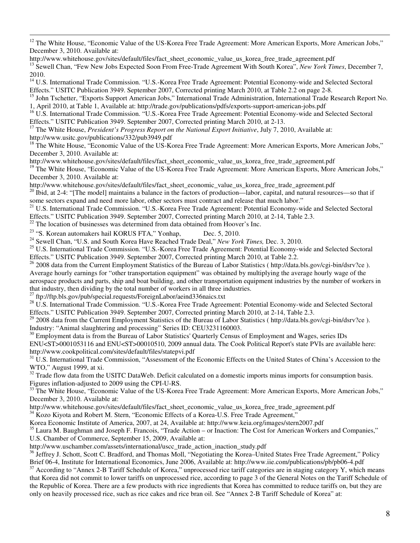$12$  The White House, "Economic Value of the US-Korea Free Trade Agreement: More American Exports, More American Jobs," December 3, 2010. Available at:

http://www.whitehouse.gov/sites/default/files/fact\_sheet\_economic\_value\_us\_korea\_free\_trade\_agreement.pdf <sup>13</sup> Sewell Chan, "Few New Jobs Expected Soon From Free-Trade Agreement With South Korea", *New York Times*, December 7, 2010.

<sup>14</sup> U.S. International Trade Commission. "U.S.-Korea Free Trade Agreement: Potential Economy-wide and Selected Sectoral Effects." USITC Publication 3949. September 2007, Corrected printing March 2010, at Table 2.2 on page 2-8.

<sup>15</sup> John Tschetter, "Exports Support American Jobs," International Trade Administration, International Trade Research Report No. 1, April 2010, at Table 1, Available at: http://trade.gov/publications/pdfs/exports-support-american-jobs.pdf

<sup>16</sup> U.S. International Trade Commission. "U.S.-Korea Free Trade Agreement: Potential Economy-wide and Selected Sectoral Effects." USITC Publication 3949. September 2007, Corrected printing March 2010, at 2-13.

<sup>17</sup> The White House, *President's Progress Report on the National Export Initiative*, July 7, 2010, Available at: http://www.usitc.gov/publications/332/pub3949.pdf

<sup>18</sup> The White House, "Economic Value of the US-Korea Free Trade Agreement: More American Exports, More American Jobs," December 3, 2010. Available at:

http://www.whitehouse.gov/sites/default/files/fact\_sheet\_economic\_value\_us\_korea\_free\_trade\_agreement.pdf

<sup>19</sup> The White House, "Economic Value of the US-Korea Free Trade Agreement: More American Exports, More American Jobs," December 3, 2010. Available at:

http://www.whitehouse.gov/sites/default/files/fact\_sheet\_economic\_value\_us\_korea\_free\_trade\_agreement.pdf

 $^{20}$  Ibid, at 2-4: "[The model] maintains a balance in the factors of production—labor, capital, and natural resources—so that if some sectors expand and need more labor, other sectors must contract and release that much labor."

<sup>21</sup> U.S. International Trade Commission. "U.S.-Korea Free Trade Agreement: Potential Economy-wide and Selected Sectoral Effects." USITC Publication 3949. September 2007, Corrected printing March 2010, at 2-14, Table 2.3.

 $22$  The location of businesses was determined from data obtained from Hoover's Inc.

<sup>23</sup> "S. Korean automakers hail KORUS FTA," Yonhap, Dec. 5, 2010.

 $\overline{a}$ 

<sup>24</sup> Sewell Chan, "U.S. and South Korea Have Reached Trade Deal," *New York Times,* Dec. 3, 2010.

<sup>25</sup> U.S. International Trade Commission. "U.S.-Korea Free Trade Agreement: Potential Economy-wide and Selected Sectoral Effects." USITC Publication 3949. September 2007, Corrected printing March 2010, at Table 2.2.

 $^{26}$  2008 data from the Current Employment Statistics of the Bureau of Labor Statistics ( http://data.bls.gov/cgi-bin/dsrv?ce ). Average hourly earnings for "other transportation equipment" was obtained by multiplying the average hourly wage of the aerospace products and parts, ship and boat building, and other transportation equipment industries by the number of workers in that industry, then dividing by the total number of workers in all three industries.

 $^{27}$  ftp://ftp.bls.gov/pub/special.requests/ForeignLabor/aeind336naics.txt

<sup>28</sup> U.S. International Trade Commission. "U.S.-Korea Free Trade Agreement: Potential Economy-wide and Selected Sectoral Effects." USITC Publication 3949. September 2007, Corrected printing March 2010, at 2-14, Table 2.3.

<sup>29</sup> 2008 data from the Current Employment Statistics of the Bureau of Labor Statistics ( http://data.bls.gov/cgi-bin/dsrv?ce ). Industry: "Animal slaughtering and processing" Series ID: CEU3231160003.

<sup>30</sup> Employment data is from the Bureau of Labor Statistics' Quarterly Census of Employment and Wages, series IDs ENU<ST>0001053116 and ENU<ST>00010510, 2009 annual data. The Cook Political Report's state PVIs are available here: http://www.cookpolitical.com/sites/default/files/statepvi.pdf

<sup>31</sup> U.S. International Trade Commission, "Assessment of the Economic Effects on the United States of China's Accession to the WTO," August 1999, at xi.

<sup>32</sup> Trade flow data from the USITC DataWeb. Deficit calculated on a domestic imports minus imports for consumption basis. Figures inflation-adjusted to 2009 using the CPI-U-RS.

<sup>33</sup> The White House, "Economic Value of the US-Korea Free Trade Agreement: More American Exports, More American Jobs," December 3, 2010. Available at:

http://www.whitehouse.gov/sites/default/files/fact\_sheet\_economic\_value\_us\_korea\_free\_trade\_agreement.pdf

<sup>34</sup> Kozo Kiyota and Robert M. Stern, "Economic Effects of a Korea-U.S. Free Trade Agreement,"

Korea Economic Institute of America, 2007, at 24, Available at: http://www.keia.org/images/stern2007.pdf

<sup>35</sup> Laura M. Baughman and Joseph F. Francois, "Trade Action – or Inaction: The Cost for American Workers and Companies," U.S. Chamber of Commerce, September 15, 2009, Available at:

http://www.uschamber.com/assets/international/uscc\_trade\_action\_inaction\_study.pdf

<sup>36</sup> Jeffrey J. Schott, Scott C. Bradford, and Thomas Moll, "Negotiating the Korea–United States Free Trade Agreement," Policy Brief 06-4, Institute for International Economics, June 2006, Available at: http://www.iie.com/publications/pb/pb06-4.pdf

<sup>37</sup> According to "Annex 2-B Tariff Schedule of Korea," unprocessed rice tariff categories are in staging category Y, which means that Korea did not commit to lower tariffs on unprocessed rice, according to page 3 of the General Notes on the Tariff Schedule of the Republic of Korea. There are a few products with rice ingredients that Korea has committed to reduce tariffs on, but they are only on heavily processed rice, such as rice cakes and rice bran oil. See "Annex 2-B Tariff Schedule of Korea" at: